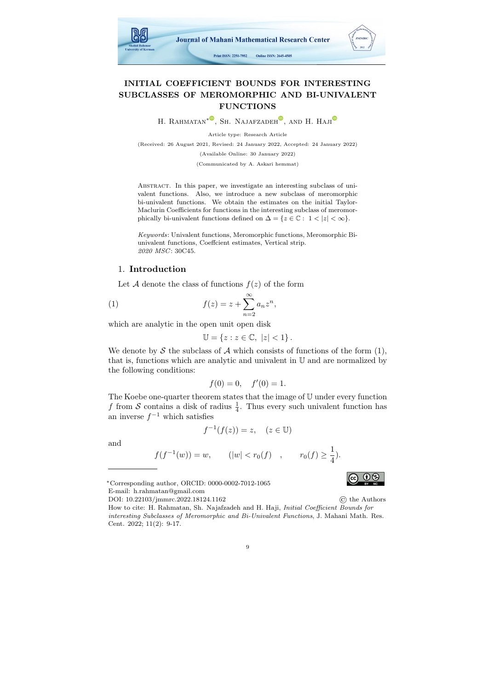

## INITIAL COEFFICIENT BOUNDS FOR INTERESTING SUBCLASSES OF MEROMORPHIC AND BI-UNIVALENT FUNCTIONS

H. RAHMATAN<sup>\*●</sup>[,](https://orcid.org/0000-0002-8124-8344) SH. NAJAFZADEH<sup>●</sup>, AND H. HAJI

Article type: Research Article

(Received: 26 August 2021, Revised: 24 January 2022, Accepted: 24 January 2022) (Available Online: 30 January 2022) (Communicated by A. Askari hemmat)

Abstract. In this paper, we investigate an interesting subclass of univalent functions. Also, we introduce a new subclass of meromorphic bi-univalent functions. We obtain the estimates on the initial Taylor-Maclurin Coefficients for functions in the interesting subclass of meromorphically bi-univalent functions defined on  $\Delta = \{z \in \mathbb{C} : 1 < |z| < \infty\}.$ 

Keywords: Univalent functions, Meromorphic functions, Meromorphic Biunivalent functions, Coeffcient estimates, Vertical strip. 2020 MSC: 30C45.

### 1. Introduction

Let A denote the class of functions  $f(z)$  of the form

(1) 
$$
f(z) = z + \sum_{n=2}^{\infty} a_n z^n,
$$

which are analytic in the open unit open disk

<span id="page-0-0"></span>
$$
\mathbb{U} = \{ z : z \in \mathbb{C}, \ |z| < 1 \} \, .
$$

We denote by S the subclass of A which consists of functions of the form  $(1)$ , that is, functions which are analytic and univalent in U and are normalized by the following conditions:

$$
f(0) = 0, \quad f'(0) = 1.
$$

The Koebe one-quarter theorem states that the image of U under every function f from S contains a disk of radius  $\frac{1}{4}$ . Thus every such univalent function has an inverse  $f^{-1}$  which satisfies

$$
x^{r-1}(f(z)) = z, \quad (z \in \mathbb{U})
$$

and

$$
f(f^{-1}(w)) = w,
$$
  $(|w| < r_0(f)),$   $r_0(f) \ge \frac{1}{4}).$ 

 $0$ 

<sup>∗</sup>Corresponding author, ORCID: 0000-0002-7012-1065 E-mail: h.rahmatan@gmail.com

f

How to cite: H. Rahmatan, Sh. Najafzadeh and H. Haji, *Initial Coefficient Bounds for* interesting Subclasses of Meromorphic and Bi-Univalent Functions, J. Mahani Math. Res. Cent. 2022; 11(2): 9-17.



DOI: 10.22103/jmmrc.2022.18124.1162 © the Authors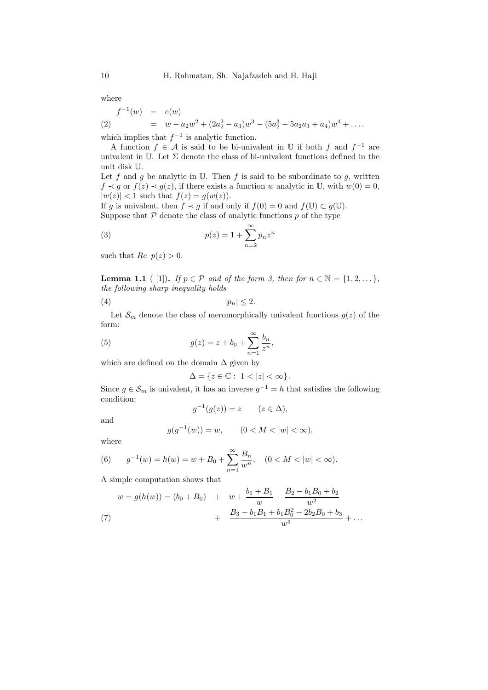where

<span id="page-1-4"></span>
$$
\begin{array}{rcl}\nf^{-1}(w) & = & e(w) \\
(2) & = & w - a_2w^2 + (2a_2^2 - a_3)w^3 - (5a_2^3 - 5a_2a_3 + a_4)w^4 + \dots \\
\end{array}
$$

which implies that  $f^{-1}$  is analytic function.

A function  $f \in \mathcal{A}$  is said to be bi-univalent in  $\mathbb U$  if both f and  $f^{-1}$  are univalent in U. Let  $\Sigma$  denote the class of bi-univalent functions defined in the unit disk U.

Let f and q be analytic in U. Then f is said to be subordinate to q, written  $f \prec g$  or  $f(z) \prec g(z)$ , if there exists a function w analytic in U, with  $w(0) = 0$ ,  $|w(z)| < 1$  such that  $f(z) = g(w(z))$ .

If g is univalent, then  $f \prec g$  if and only if  $f(0) = 0$  and  $f(\mathbb{U}) \subset g(\mathbb{U})$ . Suppose that  $P$  denote the class of analytic functions  $p$  of the type

<span id="page-1-0"></span>(3) 
$$
p(z) = 1 + \sum_{n=2}^{\infty} p_n z^n
$$

such that  $Re p(z) > 0$ .

<span id="page-1-3"></span>**Lemma 1.1** ( [\[1\]](#page-7-0)). If  $p \in \mathcal{P}$  and of the form [3,](#page-1-0) then for  $n \in \mathbb{N} = \{1, 2, \dots\}$ , the following sharp inequality holds

$$
(4) \t\t\t |p_n| \le 2.
$$

Let  $\mathcal{S}_m$  denote the class of meromorphically univalent functions  $g(z)$  of the form:

(5) 
$$
g(z) = z + b_0 + \sum_{n=1}^{\infty} \frac{b_n}{z^n},
$$

which are defined on the domain  $\Delta$  given by

<span id="page-1-5"></span>
$$
\Delta=\left\{z\in\mathbb{C}:\ 1<|z|<\infty\right\}.
$$

Since  $g \in \mathcal{S}_m$  is univalent, it has an inverse  $g^{-1} = h$  that satisfies the following condition:

$$
g^{-1}(g(z)) = z \qquad (z \in \Delta),
$$

and

$$
g(g^{-1}(w)) = w, \qquad (0 < M < |w| < \infty),
$$

where

<span id="page-1-2"></span>(6) 
$$
g^{-1}(w) = h(w) = w + B_0 + \sum_{n=1}^{\infty} \frac{B_n}{w^n}, \quad (0 < M < |w| < \infty).
$$

A simple computation shows that

<span id="page-1-1"></span>
$$
w = g(h(w)) = (b_0 + B_0) + w + \frac{b_1 + B_1}{w} + \frac{B_2 - b_1 B_0 + b_2}{w^2} + \frac{B_3 - b_1 B_1 + b_1 B_0^2 - 2b_2 B_0 + b_3}{w^3} + \dots
$$
\n(7)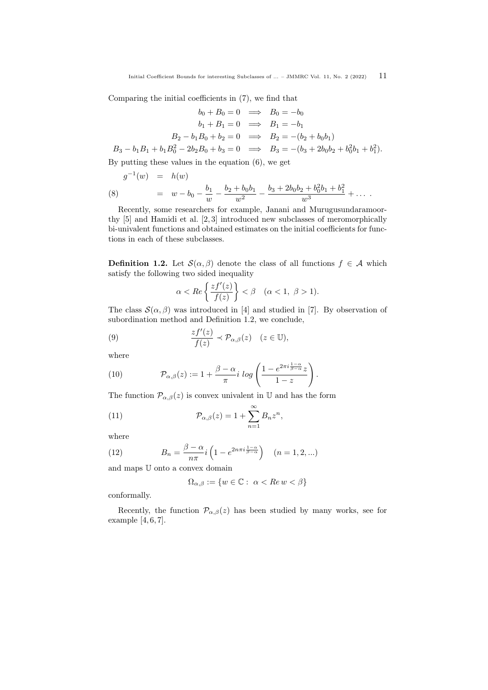Comparing the initial coefficients in [\(7\)](#page-1-1), we find that

$$
b_0 + B_0 = 0 \implies B_0 = -b_0
$$
  
\n
$$
b_1 + B_1 = 0 \implies B_1 = -b_1
$$
  
\n
$$
B_2 - b_1 B_0 + b_2 = 0 \implies B_2 = -(b_2 + b_0 b_1)
$$
  
\n
$$
B_3 - b_1 B_1 + b_1 B_0^2 - 2b_2 B_0 + b_3 = 0 \implies B_3 = -(b_3 + 2b_0 b_2 + b_0^2 b_1 + b_1^2).
$$

By putting these values in the equation [\(6\)](#page-1-2), we get

(8) 
$$
g^{-1}(w) = h(w)
$$

$$
= w - b_0 - \frac{b_1}{w} - \frac{b_2 + b_0 b_1}{w^2} - \frac{b_3 + 2b_0 b_2 + b_0^2 b_1 + b_1^2}{w^3} + \dots
$$

Recently, some researchers for example, Janani and Murugusundaramoorthy [\[5\]](#page-7-1) and Hamidi et al. [\[2,](#page-7-2) [3\]](#page-7-3) introduced new subclasses of meromorphically bi-univalent functions and obtained estimates on the initial coefficients for functions in each of these subclasses.

<span id="page-2-0"></span>**Definition 1.2.** Let  $\mathcal{S}(\alpha, \beta)$  denote the class of all functions  $f \in \mathcal{A}$  which satisfy the following two sided inequality

<span id="page-2-1"></span>
$$
\alpha < Re\left\{\frac{zf'(z)}{f(z)}\right\} < \beta \quad (\alpha < 1, \ \beta > 1).
$$

The class  $\mathcal{S}(\alpha, \beta)$  was introduced in [\[4\]](#page-7-4) and studied in [\[7\]](#page-7-5). By observation of subordination method and Definition [1.2,](#page-2-0) we conclude,

(9) 
$$
\frac{zf'(z)}{f(z)} \prec \mathcal{P}_{\alpha,\beta}(z) \quad (z \in \mathbb{U}),
$$

where

(10) 
$$
\mathcal{P}_{\alpha,\beta}(z) := 1 + \frac{\beta - \alpha}{\pi} i \log \left( \frac{1 - e^{2\pi i \frac{1 - \alpha}{\beta - \alpha}} z}{1 - z} \right).
$$

The function  $\mathcal{P}_{\alpha,\beta}(z)$  is convex univalent in U and has the form

(11) 
$$
\mathcal{P}_{\alpha,\beta}(z) = 1 + \sum_{n=1}^{\infty} B_n z^n,
$$

where

(12) 
$$
B_n = \frac{\beta - \alpha}{n\pi} i \left( 1 - e^{2n\pi i \frac{1 - \alpha}{\beta - \alpha}} \right) \quad (n = 1, 2, \ldots)
$$

and maps U onto a convex domain

<span id="page-2-2"></span>
$$
\Omega_{\alpha,\beta} := \{ w \in \mathbb{C} : \ \alpha < \text{Re } w < \beta \}
$$

conformally.

Recently, the function  $\mathcal{P}_{\alpha,\beta}(z)$  has been studied by many works, see for example [\[4,](#page-7-4) [6,](#page-7-6) [7\]](#page-7-5).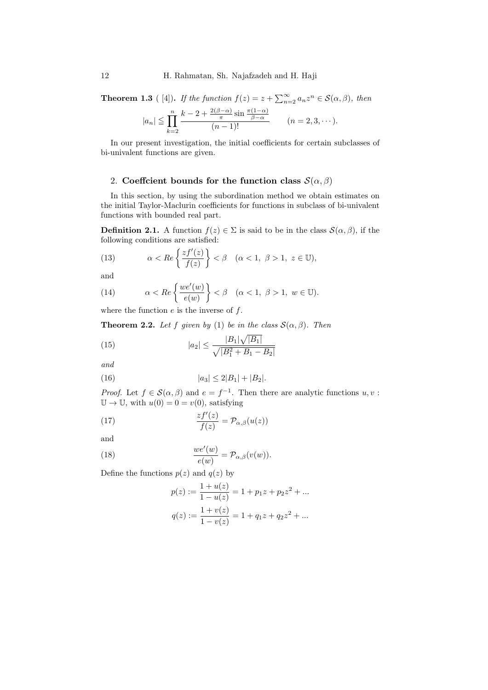**Theorem 1.3** ([\[4\]](#page-7-4)). If the function  $f(z) = z + \sum_{n=2}^{\infty} a_n z^n \in \mathcal{S}(\alpha, \beta)$ , then

$$
|a_n| \leqq \prod_{k=2}^n \frac{k-2+\frac{2(\beta-\alpha)}{\pi}\sin\frac{\pi(1-\alpha)}{\beta-\alpha}}{(n-1)!} \qquad (n=2,3,\cdots).
$$

In our present investigation, the initial coefficients for certain subclasses of bi-univalent functions are given.

### 2. Coeffcient bounds for the function class  $\mathcal{S}(\alpha, \beta)$

In this section, by using the subordination method we obtain estimates on the initial Taylor-Maclurin coefficients for functions in subclass of bi-univalent functions with bounded real part.

<span id="page-3-2"></span>**Definition 2.1.** A function  $f(z) \in \Sigma$  is said to be in the class  $\mathcal{S}(\alpha, \beta)$ , if the following conditions are satisfied:

(13) 
$$
\alpha < Re\left\{\frac{zf'(z)}{f(z)}\right\} < \beta \quad (\alpha < 1, \ \beta > 1, \ z \in \mathbb{U}),
$$

and

(14) 
$$
\alpha < Re\left\{\frac{we'(w)}{e(w)}\right\} < \beta \quad (\alpha < 1, \ \beta > 1, \ w \in \mathbb{U}).
$$

where the function  $e$  is the inverse of  $f$ .

**Theorem 2.2.** Let f given by [\(1\)](#page-0-0) be in the class  $\mathcal{S}(\alpha, \beta)$ . Then

<span id="page-3-3"></span>(15) 
$$
|a_2| \le \frac{|B_1|\sqrt{|B_1|}}{\sqrt{|B_1^2 + B_1 - B_2|}}
$$

<span id="page-3-4"></span>and

(16) 
$$
|a_3| \le 2|B_1| + |B_2|.
$$

*Proof.* Let  $f \in \mathcal{S}(\alpha, \beta)$  and  $e = f^{-1}$ . Then there are analytic functions  $u, v$ :  $\mathbb{U} \to \mathbb{U}$ , with  $u(0) = 0 = v(0)$ , satisfying

(17) 
$$
\frac{zf'(z)}{f(z)} = \mathcal{P}_{\alpha,\beta}(u(z))
$$

and

(18) 
$$
\frac{we'(w)}{e(w)} = \mathcal{P}_{\alpha,\beta}(v(w)).
$$

Define the functions  $p(z)$  and  $q(z)$  by

<span id="page-3-1"></span><span id="page-3-0"></span>
$$
p(z) := \frac{1 + u(z)}{1 - u(z)} = 1 + p_1 z + p_2 z^2 + \dots
$$
  

$$
q(z) := \frac{1 + v(z)}{1 - v(z)} = 1 + q_1 z + q_2 z^2 + \dots
$$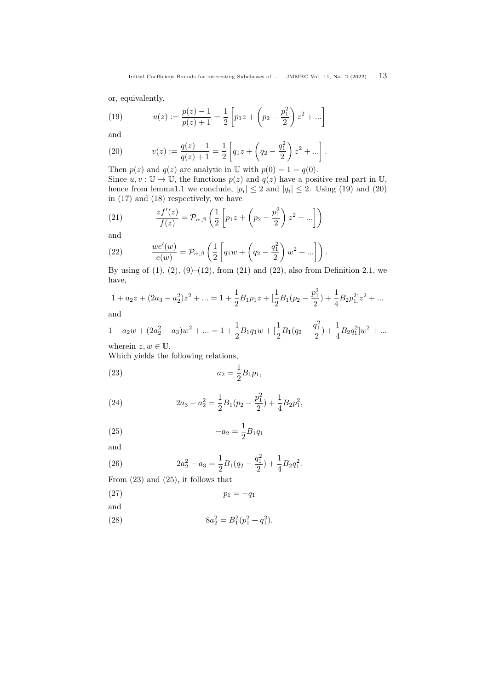or, equivalently,

<span id="page-4-0"></span>(19) 
$$
u(z) := \frac{p(z) - 1}{p(z) + 1} = \frac{1}{2} \left[ p_1 z + \left( p_2 - \frac{p_1^2}{2} \right) z^2 + \dots \right]
$$

and

<span id="page-4-1"></span>(20) 
$$
v(z) := \frac{q(z) - 1}{q(z) + 1} = \frac{1}{2} \left[ q_1 z + \left( q_2 - \frac{q_1^2}{2} \right) z^2 + \dots \right].
$$

Then  $p(z)$  and  $q(z)$  are analytic in U with  $p(0) = 1 = q(0)$ . Since  $u, v : \mathbb{U} \to \mathbb{U}$ , the functions  $p(z)$  and  $q(z)$  have a positive real part in  $\mathbb{U}$ , hence from lemm[a1.1](#page-1-3) we conclude,  $|p_i| \leq 2$  and  $|q_i| \leq 2$ . Using [\(19\)](#page-4-0) and [\(20\)](#page-4-1) in [\(17\)](#page-3-0) and [\(18\)](#page-3-1) respectively, we have

<span id="page-4-2"></span>(21) 
$$
\frac{zf'(z)}{f(z)} = \mathcal{P}_{\alpha,\beta}\left(\frac{1}{2}\left[p_1z + \left(p_2 - \frac{p_1^2}{2}\right)z^2 + ...\right]\right)
$$

and

<span id="page-4-3"></span>(22) 
$$
\frac{we'(w)}{e(w)} = \mathcal{P}_{\alpha,\beta}\left(\frac{1}{2}\left[q_1w + \left(q_2 - \frac{q_1^2}{2}\right)w^2 + ...\right]\right).
$$

By using of  $(1)$ ,  $(2)$ ,  $(9)$ – $(12)$ , from  $(21)$  and  $(22)$ , also from Definition [2.1,](#page-3-2) we have,

$$
1 + a_2 z + (2a_3 - a_2^2)z^2 + \dots = 1 + \frac{1}{2}B_1 p_1 z + \left[\frac{1}{2}B_1 (p_2 - \frac{p_1^2}{2}) + \frac{1}{4}B_2 p_1^2\right]z^2 + \dots
$$

and

$$
1 - a_2w + (2a_2^2 - a_3)w^2 + \dots = 1 + \frac{1}{2}B_1q_1w + \left[\frac{1}{2}B_1(q_2 - \frac{q_1^2}{2}) + \frac{1}{4}B_2q_1^2\right]w^2 + \dots
$$

wherein  $z, w \in \mathbb{U}$ .

<span id="page-4-4"></span>Which yields the following relations,

(23) 
$$
a_2 = \frac{1}{2}B_1p_1,
$$

<span id="page-4-6"></span>(24) 
$$
2a_3 - a_2^2 = \frac{1}{2}B_1(p_2 - \frac{p_1^2}{2}) + \frac{1}{4}B_2p_1^2,
$$

<span id="page-4-5"></span>(25) 
$$
-a_2 = \frac{1}{2}B_1q_1
$$

and

<span id="page-4-7"></span>(26) 
$$
2a_2^2 - a_3 = \frac{1}{2}B_1(q_2 - \frac{q_1^2}{2}) + \frac{1}{4}B_2q_1^2.
$$

<span id="page-4-9"></span>From [\(23\)](#page-4-4) and [\(25\)](#page-4-5), it follows that

$$
(27) \t\t\t\t p_1 = -q_1
$$

and

<span id="page-4-8"></span>(28) 
$$
8a_2^2 = B_1^2(p_1^2 + q_1^2).
$$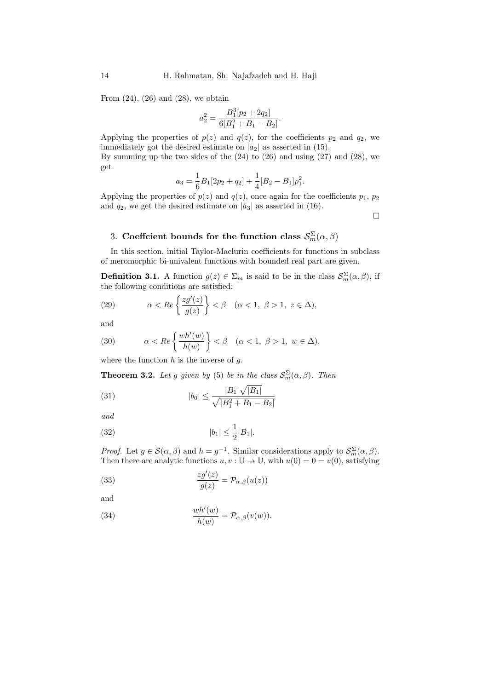From  $(24)$ ,  $(26)$  and  $(28)$ , we obtain

$$
a_2^2 = \frac{B_1^3[p_2 + 2q_2]}{6[B_1^2 + B_1 - B_2]}.
$$

Applying the properties of  $p(z)$  and  $q(z)$ , for the coefficients  $p_2$  and  $q_2$ , we immediately got the desired estimate on  $|a_2|$  as asserted in [\(15\)](#page-3-3). By summing up the two sides of the [\(24\)](#page-4-6) to [\(26\)](#page-4-7) and using [\(27\)](#page-4-9) and [\(28\)](#page-4-8), we get

$$
a_3 = \frac{1}{6}B_1[2p_2 + q_2] + \frac{1}{4}[B_2 - B_1]p_1^2.
$$

Applying the properties of  $p(z)$  and  $q(z)$ , once again for the coefficients  $p_1, p_2$ and  $q_2$ , we get the desired estimate on  $|a_3|$  as asserted in [\(16\)](#page-3-4).

 $\Box$ 

# 3. Coeffcient bounds for the function class  $\mathcal{S}_m^{\Sigma}(\alpha,\beta)$

In this section, initial Taylor-Maclurin coefficients for functions in subclass of meromorphic bi-univalent functions with bounded real part are given.

<span id="page-5-2"></span>**Definition 3.1.** A function  $g(z) \in \Sigma_m$  is said to be in the class  $\mathcal{S}_m^{\Sigma}(\alpha, \beta)$ , if the following conditions are satisfied:

(29) 
$$
\alpha < Re\left\{\frac{zg'(z)}{g(z)}\right\} < \beta \quad (\alpha < 1, \ \beta > 1, \ z \in \Delta),
$$

and

(30) 
$$
\alpha < Re\left\{\frac{wh'(w)}{h(w)}\right\} < \beta \quad (\alpha < 1, \ \beta > 1, \ w \in \Delta).
$$

where the function  $h$  is the inverse of  $g$ .

**Theorem 3.2.** Let g given by [\(5\)](#page-1-5) be in the class  $\mathcal{S}_m^{\Sigma}(\alpha, \beta)$ . Then

<span id="page-5-3"></span>(31) 
$$
|b_0| \le \frac{|B_1|\sqrt{|B_1|}}{\sqrt{|B_1^2 + B_1 - B_2|}}
$$

and

<span id="page-5-4"></span>(32) 
$$
|b_1| \le \frac{1}{2}|B_1|.
$$

*Proof.* Let  $g \in \mathcal{S}(\alpha, \beta)$  and  $h = g^{-1}$ . Similar considerations apply to  $\mathcal{S}_m^{\Sigma}(\alpha, \beta)$ . Then there are analytic functions  $u, v : \mathbb{U} \to \mathbb{U}$ , with  $u(0) = 0 = v(0)$ , satisfying

<span id="page-5-0"></span>(33) 
$$
\frac{zg'(z)}{g(z)} = \mathcal{P}_{\alpha,\beta}(u(z))
$$

<span id="page-5-1"></span>and

(34) 
$$
\frac{wh'(w)}{h(w)} = \mathcal{P}_{\alpha,\beta}(v(w)).
$$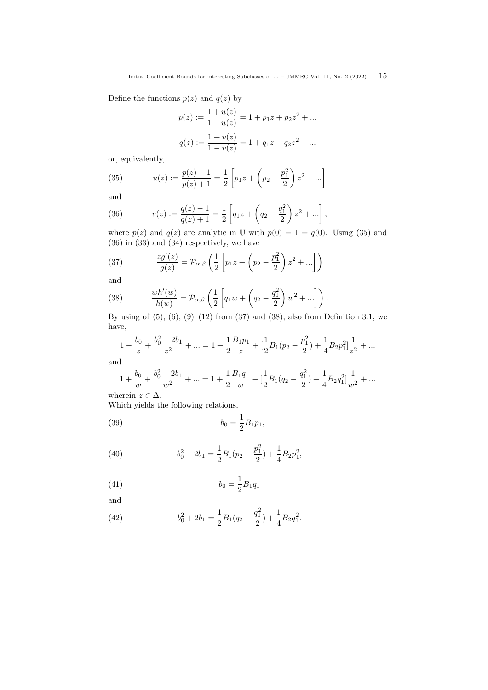Define the functions  $p(z)$  and  $q(z)$  by

$$
p(z) := \frac{1 + u(z)}{1 - u(z)} = 1 + p_1 z + p_2 z^2 + \dots
$$

$$
q(z) := \frac{1 + v(z)}{1 - v(z)} = 1 + q_1 z + q_2 z^2 + \dots
$$

or, equivalently,

<span id="page-6-0"></span>(35) 
$$
u(z) := \frac{p(z) - 1}{p(z) + 1} = \frac{1}{2} \left[ p_1 z + \left( p_2 - \frac{p_1^2}{2} \right) z^2 + \dots \right]
$$

and

<span id="page-6-1"></span>(36) 
$$
v(z) := \frac{q(z) - 1}{q(z) + 1} = \frac{1}{2} \left[ q_1 z + \left( q_2 - \frac{q_1^2}{2} \right) z^2 + \dots \right],
$$

where  $p(z)$  and  $q(z)$  are analytic in U with  $p(0) = 1 = q(0)$ . Using [\(35\)](#page-6-0) and [\(36\)](#page-6-1) in [\(33\)](#page-5-0) and [\(34\)](#page-5-1) respectively, we have

<span id="page-6-2"></span>(37) 
$$
\frac{z g'(z)}{g(z)} = \mathcal{P}_{\alpha,\beta} \left( \frac{1}{2} \left[ p_1 z + \left( p_2 - \frac{p_1^2}{2} \right) z^2 + \ldots \right] \right)
$$

and

<span id="page-6-3"></span>(38) 
$$
\frac{wh'(w)}{h(w)} = \mathcal{P}_{\alpha,\beta}\left(\frac{1}{2}\left[q_1w + \left(q_2 - \frac{q_1^2}{2}\right)w^2 + ...\right]\right).
$$

By using of  $(5)$ ,  $(6)$ ,  $(9)$ – $(12)$  from  $(37)$  and  $(38)$ , also from Definition [3.1,](#page-5-2) we have,

$$
1 - \frac{b_0}{z} + \frac{b_0^2 - 2b_1}{z^2} + \dots = 1 + \frac{1}{2} \frac{B_1 p_1}{z} + \left[\frac{1}{2}B_1 (p_2 - \frac{p_1^2}{2}) + \frac{1}{4} B_2 p_1^2\right] \frac{1}{z^2} + \dots
$$

and

<span id="page-6-4"></span>
$$
1+\frac{b_0}{w}+\frac{b_0^2+2b_1}{w^2}+\ldots=1+\frac{1}{2}\frac{B_1q_1}{w}+[\frac{1}{2}B_1(q_2-\frac{q_1^2}{2})+\frac{1}{4}B_2q_1^2]\frac{1}{w^2}+\ldots
$$

wherein  $z \in \Delta$ .

Which yields the following relations,

(39) 
$$
-b_0 = \frac{1}{2}B_1p_1,
$$

<span id="page-6-6"></span>(40) 
$$
b_0^2 - 2b_1 = \frac{1}{2}B_1(p_2 - \frac{p_1^2}{2}) + \frac{1}{4}B_2p_1^2,
$$

<span id="page-6-5"></span>(41) 
$$
b_0 = \frac{1}{2}B_1q_1
$$

and

<span id="page-6-7"></span>(42) 
$$
b_0^2 + 2b_1 = \frac{1}{2}B_1(q_2 - \frac{q_1^2}{2}) + \frac{1}{4}B_2q_1^2.
$$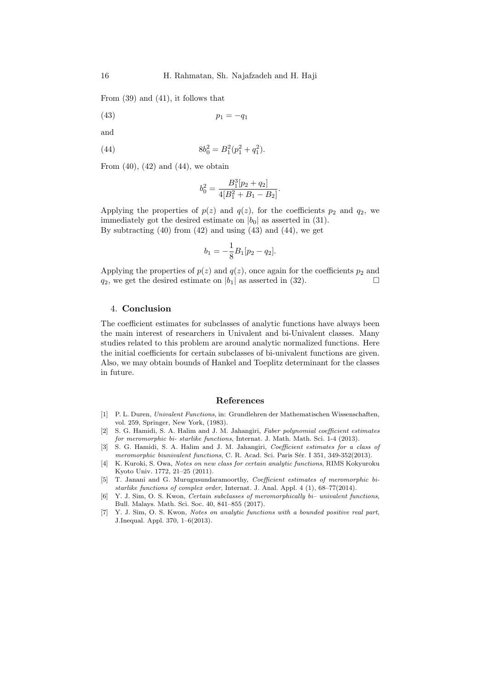From [\(39\)](#page-6-4) and [\(41\)](#page-6-5), it follows that

(43)  $p_1 = -q_1$ 

and

(44) 
$$
8b_0^2 = B_1^2(p_1^2 + q_1^2).
$$

From  $(40)$ ,  $(42)$  and  $(44)$ , we obtain

<span id="page-7-8"></span><span id="page-7-7"></span>
$$
b_0^2 = \frac{B_1^3[p_2 + q_2]}{4[B_1^2 + B_1 - B_2]}.
$$

Applying the properties of  $p(z)$  and  $q(z)$ , for the coefficients  $p_2$  and  $q_2$ , we immediately got the desired estimate on  $|b_0|$  as asserted in [\(31\)](#page-5-3). By subtracting  $(40)$  from  $(42)$  and using  $(43)$  and  $(44)$ , we get

$$
b_1 = -\frac{1}{8}B_1[p_2 - q_2].
$$

Applying the properties of  $p(z)$  and  $q(z)$ , once again for the coefficients  $p_2$  and  $q_2$ , we get the desired estimate on  $|b_1|$  as asserted in [\(32\)](#page-5-4).

### 4. Conclusion

The coefficient estimates for subclasses of analytic functions have always been the main interest of researchers in Univalent and bi-Univalent classes. Many studies related to this problem are around analytic normalized functions. Here the initial coefficients for certain subclasses of bi-univalent functions are given. Also, we may obtain bounds of Hankel and Toeplitz determinant for the classes in future.

#### References

- <span id="page-7-0"></span>[1] P. L. Duren, Univalent Functions, in: Grundlehren der Mathematischen Wissenschaften, vol. 259, Springer, New York, (1983).
- <span id="page-7-2"></span>[2] S. G. Hamidi, S. A. Halim and J. M. Jahangiri, Faber polynomial coefficient estimates for meromorphic bi- starlike functions, Internat. J. Math. Math. Sci. 1-4 (2013).
- <span id="page-7-3"></span>[3] S. G. Hamidi, S. A. Halim and J. M. Jahangiri, Coefficient estimates for a class of meromorphic biunivalent functions, C. R. Acad. Sci. Paris Sér. I 351, 349-352(2013).
- <span id="page-7-4"></span>[4] K. Kuroki, S. Owa, Notes on new class for certain analytic functions, RIMS Kokyuroku Kyoto Univ. 1772, 21–25 (2011).
- <span id="page-7-1"></span>[5] T. Janani and G. Murugusundaramoorthy, Coefficient estimates of meromorphic bistarlike functions of complex order, Internat. J. Anal. Appl. 4 (1), 68–77(2014).
- <span id="page-7-6"></span>[6] Y. J. Sim, O. S. Kwon, Certain subclasses of meromorphically bi– univalent functions, Bull. Malays. Math. Sci. Soc. 40, 841–855 (2017).
- <span id="page-7-5"></span>[7] Y. J. Sim, O. S. Kwon, Notes on analytic functions with a bounded positive real part, J.Inequal. Appl. 370, 1–6(2013).